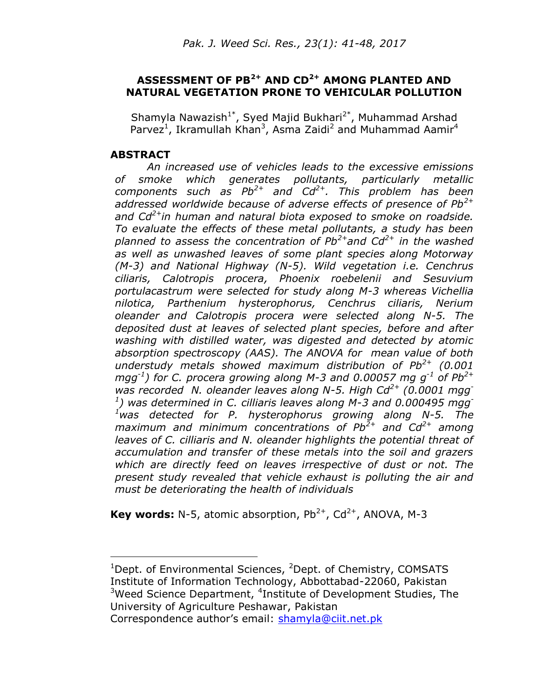## **ASSESSMENT OF PB2+ AND CD2+ AMONG PLANTED AND NATURAL VEGETATION PRONE TO VEHICULAR POLLUTION**

Shamyla Nawazish<sup>1\*</sup>, Syed Majid Bukhari<sup>2\*</sup>, Muhammad Arshad Parvez<sup>1</sup>, Ikramullah Khan<sup>3</sup>, Asma Zaidi<sup>2</sup> and Muhammad Aamir<sup>4</sup>

### **ABSTRACT**

 $\overline{a}$ 

*An increased use of vehicles leads to the excessive emissions of smoke which generates pollutants, particularly metallic components such as Pb2+ and Cd2+. This problem has been addressed worldwide because of adverse effects of presence of Pb2+ and Cd2+in human and natural biota exposed to smoke on roadside. To evaluate the effects of these metal pollutants, a study has been planned to assess the concentration of Pb2+and Cd2+ in the washed as well as unwashed leaves of some plant species along Motorway (M-3) and National Highway (N-5). Wild vegetation i.e. Cenchrus ciliaris, Calotropis procera, Phoenix roebelenii and Sesuvium portulacastrum were selected for study along M-3 whereas Vichellia nilotica, Parthenium hysterophorus, Cenchrus ciliaris, Nerium oleander and Calotropis procera were selected along N-5. The deposited dust at leaves of selected plant species, before and after washing with distilled water, was digested and detected by atomic absorption spectroscopy (AAS). The ANOVA for mean value of both understudy metals showed maximum distribution of Pb2+ (0.001 mgg-1 ) for C. procera growing along M-3 and 0.00057 mg g-1 of Pb2+ was recorded N. oleander leaves along N-5. High Cd2+ (0.0001 mgg-1 ) was determined in C. cilliaris leaves along M-3 and 0.000495 mgg-<sup>1</sup>was detected for P. hysterophorus growing along N-5. The maximum and minimum concentrations of Pb2+ and Cd2+ among leaves of C. cilliaris and N. oleander highlights the potential threat of accumulation and transfer of these metals into the soil and grazers which are directly feed on leaves irrespective of dust or not. The present study revealed that vehicle exhaust is polluting the air and must be deteriorating the health of individuals*

**Key words:** N-5, atomic absorption,  $Pb^{2+}$ ,  $Cd^{2+}$ , ANOVA, M-3

Correspondence author's email: [shamyla@ciit.net.pk](mailto:shamyla@ciit.net.pk)

<sup>&</sup>lt;sup>1</sup>Dept. of Environmental Sciences, <sup>2</sup>Dept. of Chemistry, COMSATS Institute of Information Technology, Abbottabad-22060, Pakistan <sup>3</sup>Weed Science Department, <sup>4</sup>Institute of Development Studies, The University of Agriculture Peshawar, Pakistan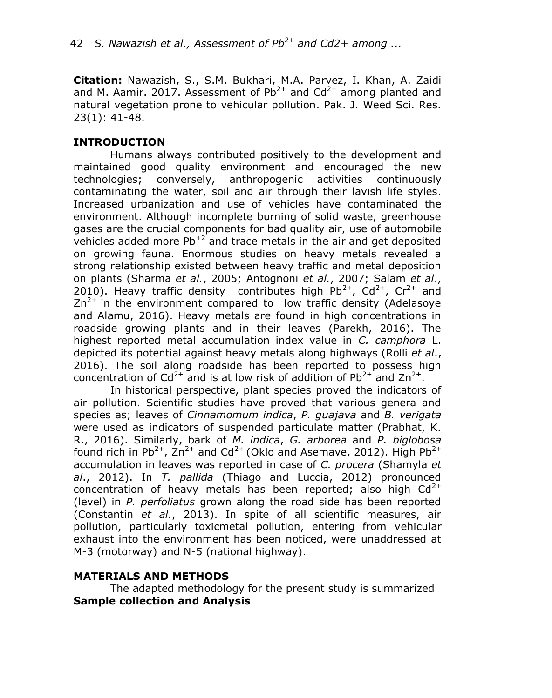**Citation:** Nawazish, S., S.M. Bukhari, M.A. Parvez, I. Khan, A. Zaidi and M. Aamir. 2017. Assessment of  $Pb^{2+}$  and  $Cd^{2+}$  among planted and natural vegetation prone to vehicular pollution. Pak. J. Weed Sci. Res. 23(1): 41-48.

# **INTRODUCTION**

Humans always contributed positively to the development and maintained good quality environment and encouraged the new technologies; conversely, anthropogenic activities continuously contaminating the water, soil and air through their lavish life styles. Increased urbanization and use of vehicles have contaminated the environment. Although incomplete burning of solid waste, greenhouse gases are the crucial components for bad quality air, use of automobile vehicles added more  $Pb^{2}$  and trace metals in the air and get deposited on growing fauna. Enormous studies on heavy metals revealed a strong relationship existed between heavy traffic and metal deposition on plants (Sharma *et al.*, 2005; Antognoni *et al.*, 2007; Salam *et al*., 2010). Heavy traffic density contributes high Pb<sup>2+</sup>, Cd<sup>2+</sup>, Cr<sup>2+</sup> and  $Zn^{2+}$  in the environment compared to low traffic density (Adelasoye and Alamu, 2016). Heavy metals are found in high concentrations in roadside growing plants and in their leaves (Parekh, 2016). The highest reported metal accumulation index value in *C. camphora* L. depicted its potential against heavy metals along highways (Rolli *et al*., 2016). The soil along roadside has been reported to possess high concentration of Cd<sup>2+</sup> and is at low risk of addition of Pb<sup>2+</sup> and Zn<sup>2+</sup>.

In historical perspective, plant species proved the indicators of air pollution. Scientific studies have proved that various genera and species as; leaves of *Cinnamomum indica*, *P. guajava* and *B. verigata*  were used as indicators of suspended particulate matter (Prabhat, K. R., 2016). Similarly, bark of *M. indica*, *G. arborea* and *P. biglobosa* found rich in Pb<sup>2+</sup>,  $\text{Zn}^{2+}$  and Cd<sup>2+</sup> (Oklo and Asemave, 2012). High Pb<sup>2+</sup> accumulation in leaves was reported in case of *C. procera* (Shamyla *et al*., 2012). In *T. pallida* (Thiago and Luccia, 2012) pronounced concentration of heavy metals has been reported; also high  $Cd^{2+}$ (level) in *P. perfoliatus* grown along the road side has been reported (Constantin *et al.*, 2013). In spite of all scientific measures, air pollution, particularly toxicmetal pollution, entering from vehicular exhaust into the environment has been noticed, were unaddressed at M-3 (motorway) and N-5 (national highway).

#### **MATERIALS AND METHODS**

The adapted methodology for the present study is summarized **Sample collection and Analysis**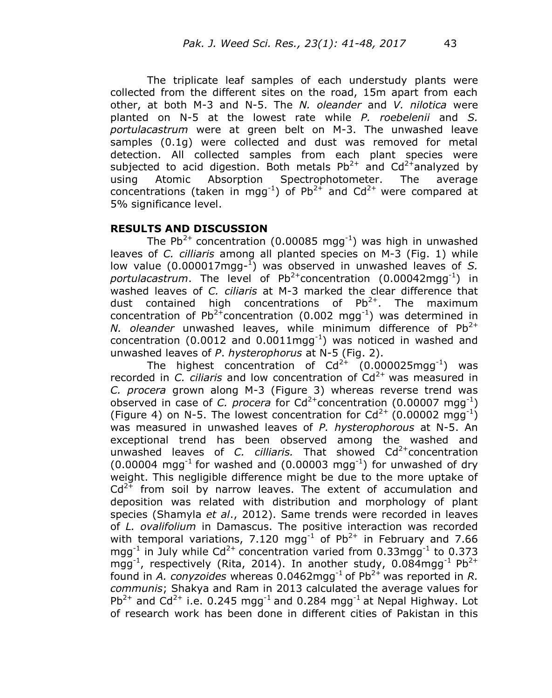The triplicate leaf samples of each understudy plants were collected from the different sites on the road, 15m apart from each other, at both M-3 and N-5. The *N. oleander* and *V. nilotica* were planted on N-5 at the lowest rate while *P. roebelenii* and *S. portulacastrum* were at green belt on M-3. The unwashed leave samples (0.1g) were collected and dust was removed for metal detection. All collected samples from each plant species were subjected to acid digestion. Both metals  $Pb^{2+}$  and  $Cd^{2+}$ analyzed by using Atomic Absorption Spectrophotometer. The average concentrations (taken in mgg<sup>-1</sup>) of Pb<sup>2+</sup> and Cd<sup>2+</sup> were compared at 5% significance level.

## **RESULTS AND DISCUSSION**

The Pb<sup>2+</sup> concentration (0.00085 mgg<sup>-1</sup>) was high in unwashed leaves of *C. cilliaris* among all planted species on M-3 (Fig. 1) while low value (0.000017mgg-<sup>1</sup>) was observed in unwashed leaves of S. portulacastrum. The level of Pb<sup>2+</sup>concentration (0.00042mgg<sup>-1</sup>) in washed leaves of *C. ciliaris* at M-3 marked the clear difference that dust contained high concentrations of  $Pb^{2+}$ . The maximum concentration of Pb<sup>2+</sup>concentration (0.002 mgg<sup>-1</sup>) was determined in *N. oleander* unwashed leaves, while minimum difference of Pb<sup>2+</sup> concentration (0.0012 and 0.0011mgg<sup>-1</sup>) was noticed in washed and unwashed leaves of *P*. *hysterophorus* at N-5 (Fig. 2).

The highest concentration of  $Cd^{2+}$  (0.000025mgg<sup>-1</sup>) was recorded in *C. ciliaris* and low concentration of Cd<sup>2+</sup> was measured in *C. procera* grown along M-3 (Figure 3) whereas reverse trend was observed in case of *C. procera* for  $Cd^{2+}$ concentration (0.00007 mgg<sup>-1</sup>) (Figure 4) on N-5. The lowest concentration for  $Cd^{2+}$  (0.00002 mgg<sup>-1</sup>) was measured in unwashed leaves of *P. hysterophorous* at N-5. An exceptional trend has been observed among the washed and unwashed leaves of *C. cilliaris*. That showed Cd<sup>2+</sup>concentration  $(0.00004 \text{ mgg}^{-1})$  for washed and  $(0.00003 \text{ mgg}^{-1})$  for unwashed of dry weight. This negligible difference might be due to the more uptake of  $Cd^{2+}$  from soil by narrow leaves. The extent of accumulation and deposition was related with distribution and morphology of plant species (Shamyla *et al*., 2012). Same trends were recorded in leaves of *L. ovalifolium* in Damascus. The positive interaction was recorded with temporal variations, 7.120 mgg<sup>-1</sup> of Pb<sup>2+</sup> in February and 7.66 mgg<sup>-1</sup> in July while Cd<sup>2+</sup> concentration varied from 0.33mgg<sup>-1</sup> to 0.373 mgg<sup>-1</sup>, respectively (Rita, 2014). In another study, 0.084mgg<sup>-1</sup> Pb<sup>2+</sup> found in *A. conyzoides* whereas 0.0462mgg<sup>-1</sup> of Pb<sup>2+</sup> was reported in *R. communis*; Shakya and Ram in 2013 calculated the average values for Pb<sup>2+</sup> and  $Cd^{2+}$  i.e. 0.245 mgg<sup>-1</sup> and 0.284 mgg<sup>-1</sup> at Nepal Highway. Lot of research work has been done in different cities of Pakistan in this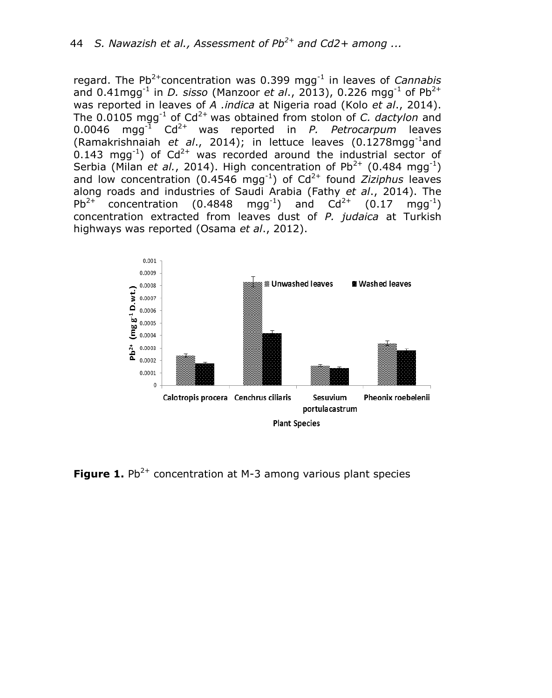regard. The Pb<sup>2+</sup>concentration was 0.399 mgg<sup>-1</sup> in leaves of *Cannabis* and 0.41mgg<sup>-1</sup> in *D. sisso* (Manzoor *et al.*, 2013), 0.226 mgg<sup>-1</sup> of Pb<sup>2+</sup> was reported in leaves of *A .indica* at Nigeria road (Kolo *et al*., 2014). The  $0.0105$  mgg<sup>-1</sup> of  $Cd^{2+}$  was obtained from stolon of *C. dactylon* and 0.0046 mgg<sup>-1</sup> Cd<sup>2+</sup> was reported in *P. Petrocarpum* leaves (Ramakrishnaiah et al., 2014); in lettuce leaves (0.1278mgg<sup>-1</sup>and 0.143 mgg<sup>-1</sup>) of Cd<sup>2+</sup> was recorded around the industrial sector of Serbia (Milan *et al.*, 2014). High concentration of Pb<sup>2+</sup> (0.484 mgg<sup>-1</sup>) and low concentration (0.4546 mgg<sup>-1</sup>) of Cd<sup>2+</sup> found *Ziziphus* leaves along roads and industries of Saudi Arabia (Fathy *et al*., 2014). The  $Pb^{2+}$  concentration (0.4848  $(mgg^{-1})$  and  $Cd^{2+}$  (0.17  $mgq^{-1}$ ) concentration extracted from leaves dust of *P. judaica* at Turkish highways was reported (Osama *et al*., 2012).



**Figure 1.** Pb<sup>2+</sup> concentration at M-3 among various plant species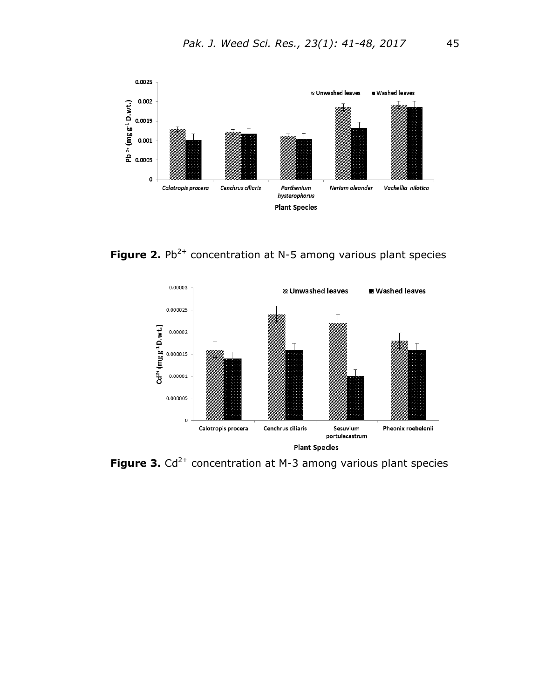

**Figure 2.** Pb<sup>2+</sup> concentration at N-5 among various plant species



**Figure 3.** Cd<sup>2+</sup> concentration at M-3 among various plant species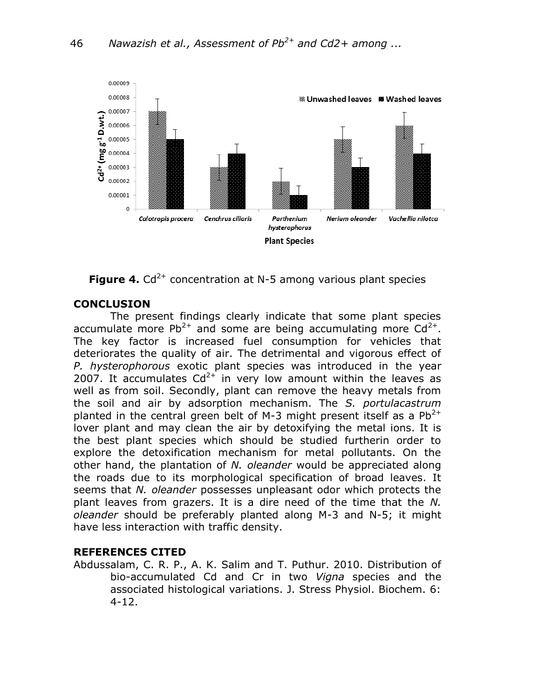



## **CONCLUSION**

The present findings clearly indicate that some plant species accumulate more Pb<sup>2+</sup> and some are being accumulating more  $Cd^{2+}$ . The key factor is increased fuel consumption for vehicles that deteriorates the quality of air. The detrimental and vigorous effect of *P. hysterophorous* exotic plant species was introduced in the year 2007. It accumulates  $Cd^{2+}$  in very low amount within the leaves as well as from soil. Secondly, plant can remove the heavy metals from the soil and air by adsorption mechanism. The *S. portulacastrum* planted in the central green belt of M-3 might present itself as a  $Pb^{2+}$ lover plant and may clean the air by detoxifying the metal ions. It is the best plant species which should be studied furtherin order to explore the detoxification mechanism for metal pollutants. On the other hand, the plantation of *N. oleander* would be appreciated along the roads due to its morphological specification of broad leaves. It seems that *N. oleander* possesses unpleasant odor which protects the plant leaves from grazers. It is a dire need of the time that the *N. oleander* should be preferably planted along M-3 and N-5; it might have less interaction with traffic density.

## **REFERENCES CITED**

Abdussalam, C. R. P., A. K. Salim and T. Puthur. 2010. Distribution of bio-accumulated Cd and Cr in two *Vigna* species and the associated histological variations. J. Stress Physiol. Biochem. 6: 4-12.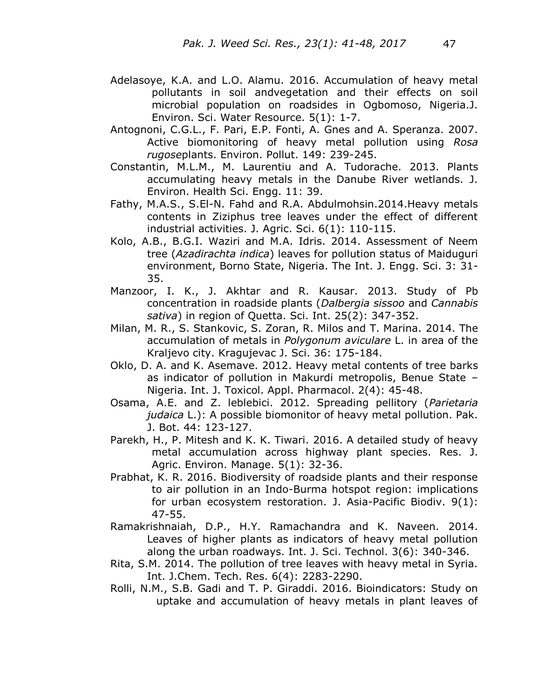- Adelasoye, K.A. and L.O. Alamu. 2016. Accumulation of heavy metal pollutants in soil andvegetation and their effects on soil microbial population on roadsides in Ogbomoso, Nigeria.J. Environ. Sci. Water Resource. 5(1): 1-7.
- Antognoni, C.G.L., F. Pari, E.P. Fonti, A. Gnes and A. Speranza. 2007. Active biomonitoring of heavy metal pollution using *Rosa rugose*plants. Environ. Pollut. 149: 239-245.
- Constantin, M.L.M., M. Laurentiu and A. Tudorache. 2013. Plants accumulating heavy metals in the Danube River wetlands. J. Environ. Health Sci. Engg. 11: 39.
- Fathy, M.A.S., S.El-N. Fahd and R.A. Abdulmohsin.2014.Heavy metals contents in Ziziphus tree leaves under the effect of different industrial activities. J. Agric. Sci. 6(1): 110-115.
- Kolo, A.B., B.G.I. Waziri and M.A. Idris. 2014. Assessment of Neem tree (*Azadirachta indica*) leaves for pollution status of Maiduguri environment, Borno State, Nigeria. The Int. J. Engg. Sci. 3: 31- 35.
- Manzoor, I. K., J. Akhtar and R. Kausar. 2013. Study of Pb concentration in roadside plants (*Dalbergia sissoo* and *Cannabis sativa*) in region of Quetta. Sci. Int. 25(2): 347-352.
- Milan, M. R., S. Stankovic, S. Zoran, R. Milos and T. Marina. 2014. The accumulation of metals in *Polygonum aviculare* L. in area of the Kraljevo city. Kragujevac J. Sci. 36: 175-184.
- Oklo, D. A. and K. Asemave. 2012. Heavy metal contents of tree barks as indicator of pollution in Makurdi metropolis, Benue State – Nigeria. Int. J. Toxicol. Appl. Pharmacol. 2(4): 45-48.
- Osama, A.E. and Z. leblebici. 2012. Spreading pellitory (*Parietaria judaica* L.): A possible biomonitor of heavy metal pollution. Pak. J. Bot. 44: 123-127.
- Parekh, H., P. Mitesh and K. K. Tiwari. 2016. A detailed study of heavy metal accumulation across highway plant species. Res. J. Agric. Environ. Manage. 5(1): 32-36.
- Prabhat, K. R. 2016. Biodiversity of roadside plants and their response to air pollution in an Indo-Burma hotspot region: implications for urban ecosystem restoration. J. Asia-Pacific Biodiv. 9(1): 47-55.
- Ramakrishnaiah, D.P., H.Y. Ramachandra and K. Naveen. 2014. Leaves of higher plants as indicators of heavy metal pollution along the urban roadways. Int. J. Sci. Technol. 3(6): 340-346.
- Rita, S.M. 2014. The pollution of tree leaves with heavy metal in Syria. Int. J.Chem. Tech. Res. 6(4): 2283-2290.
- Rolli, N.M., S.B. Gadi and T. P. Giraddi. 2016. Bioindicators: Study on uptake and accumulation of heavy metals in plant leaves of